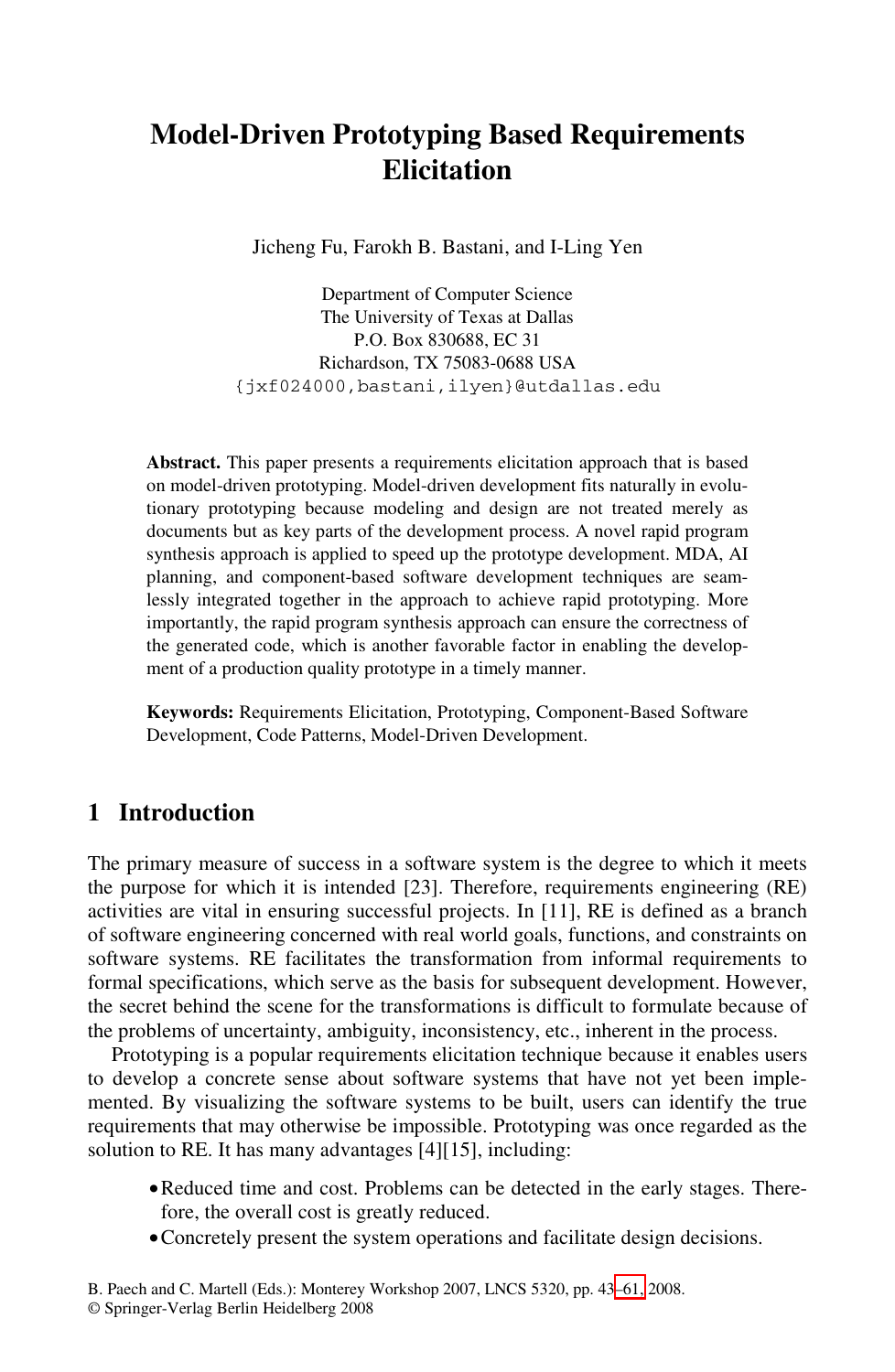# **Model-Driven Prototyping Based Requirements Elicitation**

Jicheng Fu, Farokh B. Bastani, and I-Ling Yen

Department of Computer Science The University of Texas at Dallas P.O. Box 830688, EC 31 Richardson, TX 75083-0688 USA {jxf024000,bastani,ilyen}@utdallas.edu

**Abstract.** This paper presents a requirements elicitation approach that is based on model-driven prototyping. Model-driven development fits naturally in evolutionary prototyping because modeling and design are not treated merely as documents but as key parts of the development process. A novel rapid program synthesis approach is applied to speed up the prototype development. MDA, AI planning, and component-based software development techniques are seamlessly integrated together in the approach to achieve rapid prototyping. More importantly, the rapid program synthesis approach can ensure the correctness of the generated code, which is another favorable factor in enabling the development of a production quality prototype in a timely manner.

**Keywords:** Requirements Elicitation, Prototyping, Component-Based Software Development, Code Patterns, Model-Driven Development.

## **1 Introduction**

The primary measure of success in a software system is the degree to which it meets the purpose for which it is intended [23]. Therefore, requirements engineering (RE) activities are vital in ensuring successful projects. In [11], RE is defined as a branch of software engineering concerned with real world goals, functions, and constraints on software systems. RE facilitates the transformation from informal requirements to formal specifications, which serve as the basis for subsequent development. However, the secret behind the scene for the transformations is difficult to formulate because of the problems of uncertainty, ambiguity, inconsistency, etc., inherent in the process.

Prototyping is a popular requirements elicitation technique because it enables users to develop a concrete sense about software systems that have not yet been implemented. By visualizing the software syst[ems](#page-18-0) to be built, users can identify the true requirements that may otherwise be impossible. Prototyping was once regarded as the solution to RE. It has many advantages [4][15], including:

- •Reduced time and cost. Problems can be detected in the early stages. Therefore, the overall cost is greatly reduced.
- •Concretely present the system operations and facilitate design decisions.

B. Paech and C. Martell (Eds.): Monterey Workshop 2007, LNCS 5320, pp. 43–61, 2008. © Springer-Verlag Berlin Heidelberg 2008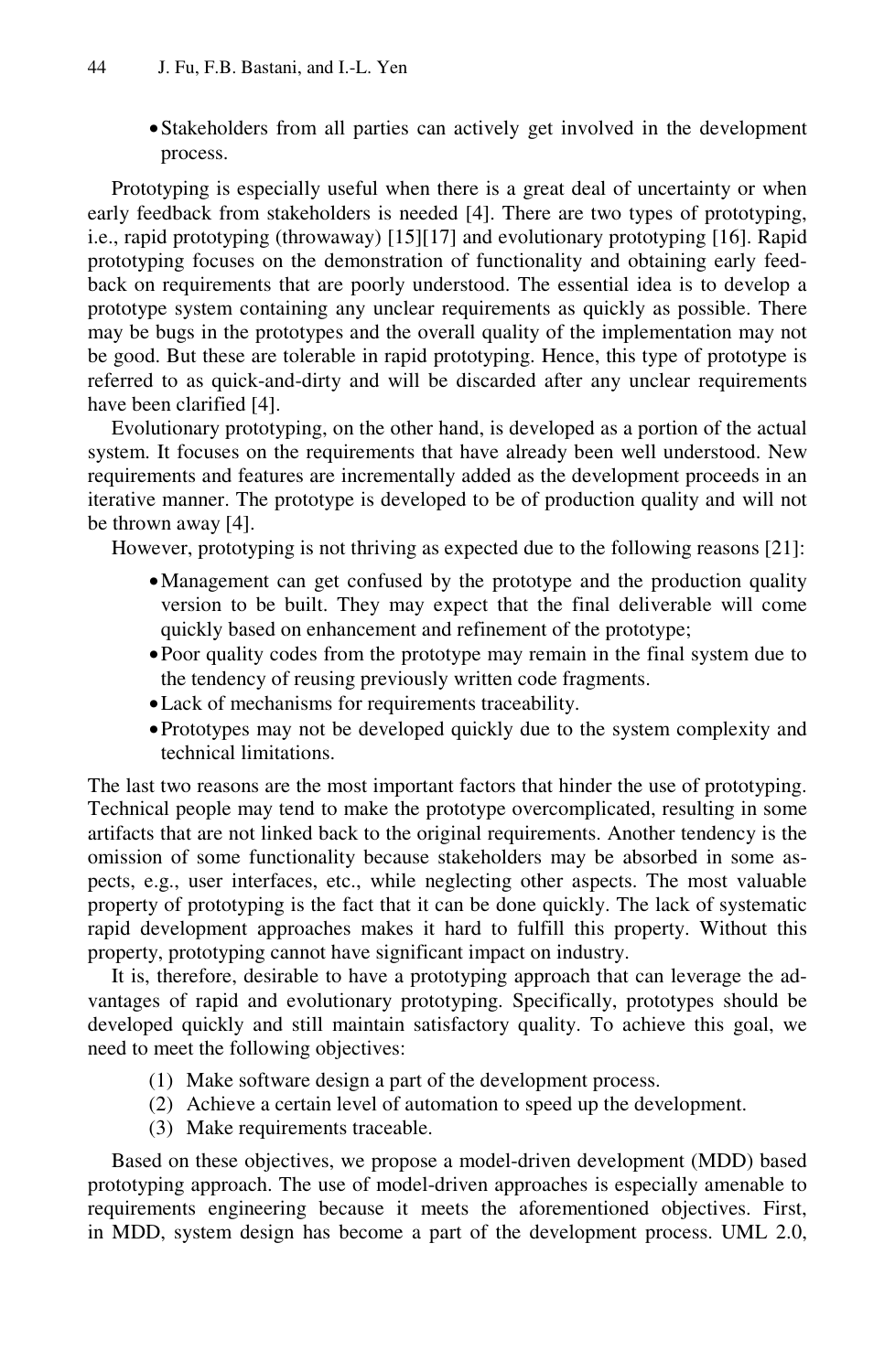•Stakeholders from all parties can actively get involved in the development process.

Prototyping is especially useful when there is a great deal of uncertainty or when early feedback from stakeholders is needed [4]. There are two types of prototyping, i.e., rapid prototyping (throwaway) [15][17] and evolutionary prototyping [16]. Rapid prototyping focuses on the demonstration of functionality and obtaining early feedback on requirements that are poorly understood. The essential idea is to develop a prototype system containing any unclear requirements as quickly as possible. There may be bugs in the prototypes and the overall quality of the implementation may not be good. But these are tolerable in rapid prototyping. Hence, this type of prototype is referred to as quick-and-dirty and will be discarded after any unclear requirements have been clarified [4].

Evolutionary prototyping, on the other hand, is developed as a portion of the actual system. It focuses on the requirements that have already been well understood. New requirements and features are incrementally added as the development proceeds in an iterative manner. The prototype is developed to be of production quality and will not be thrown away [4].

However, prototyping is not thriving as expected due to the following reasons [21]:

- •Management can get confused by the prototype and the production quality version to be built. They may expect that the final deliverable will come quickly based on enhancement and refinement of the prototype;
- •Poor quality codes from the prototype may remain in the final system due to the tendency of reusing previously written code fragments.
- •Lack of mechanisms for requirements traceability.
- •Prototypes may not be developed quickly due to the system complexity and technical limitations.

The last two reasons are the most important factors that hinder the use of prototyping. Technical people may tend to make the prototype overcomplicated, resulting in some artifacts that are not linked back to the original requirements. Another tendency is the omission of some functionality because stakeholders may be absorbed in some aspects, e.g., user interfaces, etc., while neglecting other aspects. The most valuable property of prototyping is the fact that it can be done quickly. The lack of systematic rapid development approaches makes it hard to fulfill this property. Without this property, prototyping cannot have significant impact on industry.

It is, therefore, desirable to have a prototyping approach that can leverage the advantages of rapid and evolutionary prototyping. Specifically, prototypes should be developed quickly and still maintain satisfactory quality. To achieve this goal, we need to meet the following objectives:

- (1) Make software design a part of the development process.
- (2) Achieve a certain level of automation to speed up the development.
- (3) Make requirements traceable.

Based on these objectives, we propose a model-driven development (MDD) based prototyping approach. The use of model-driven approaches is especially amenable to requirements engineering because it meets the aforementioned objectives. First, in MDD, system design has become a part of the development process. UML 2.0,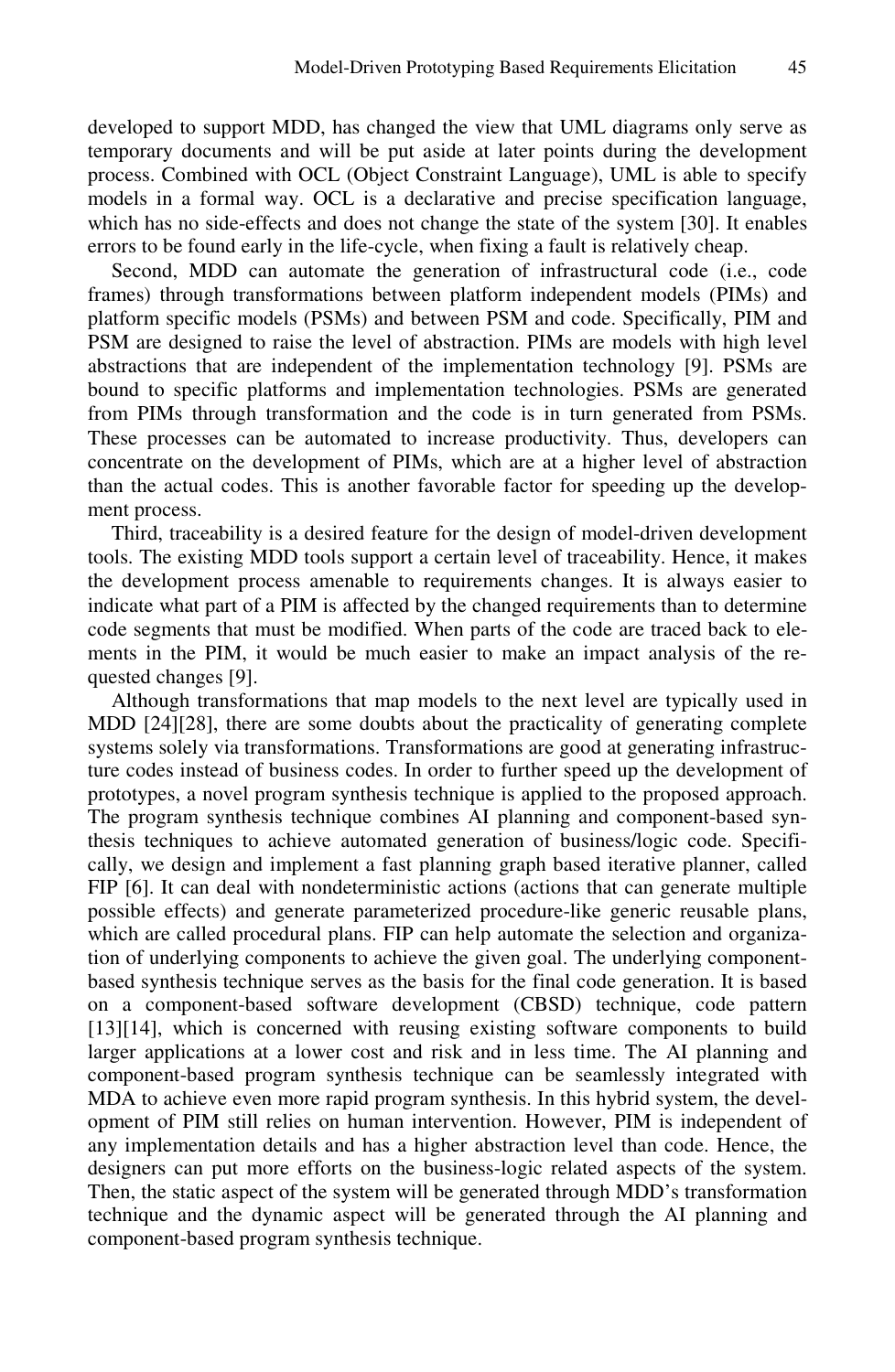developed to support MDD, has changed the view that UML diagrams only serve as temporary documents and will be put aside at later points during the development process. Combined with OCL (Object Constraint Language), UML is able to specify models in a formal way. OCL is a declarative and precise specification language, which has no side-effects and does not change the state of the system [30]. It enables errors to be found early in the life-cycle, when fixing a fault is relatively cheap.

Second, MDD can automate the generation of infrastructural code (i.e., code frames) through transformations between platform independent models (PIMs) and platform specific models (PSMs) and between PSM and code. Specifically, PIM and PSM are designed to raise the level of abstraction. PIMs are models with high level abstractions that are independent of the implementation technology [9]. PSMs are bound to specific platforms and implementation technologies. PSMs are generated from PIMs through transformation and the code is in turn generated from PSMs. These processes can be automated to increase productivity. Thus, developers can concentrate on the development of PIMs, which are at a higher level of abstraction than the actual codes. This is another favorable factor for speeding up the development process.

Third, traceability is a desired feature for the design of model-driven development tools. The existing MDD tools support a certain level of traceability. Hence, it makes the development process amenable to requirements changes. It is always easier to indicate what part of a PIM is affected by the changed requirements than to determine code segments that must be modified. When parts of the code are traced back to elements in the PIM, it would be much easier to make an impact analysis of the requested changes [9].

Although transformations that map models to the next level are typically used in MDD [24][28], there are some doubts about the practicality of generating complete systems solely via transformations. Transformations are good at generating infrastructure codes instead of business codes. In order to further speed up the development of prototypes, a novel program synthesis technique is applied to the proposed approach. The program synthesis technique combines AI planning and component-based synthesis techniques to achieve automated generation of business/logic code. Specifically, we design and implement a fast planning graph based iterative planner, called FIP [6]. It can deal with nondeterministic actions (actions that can generate multiple possible effects) and generate parameterized procedure-like generic reusable plans, which are called procedural plans. FIP can help automate the selection and organization of underlying components to achieve the given goal. The underlying componentbased synthesis technique serves as the basis for the final code generation. It is based on a component-based software development (CBSD) technique, code pattern [13][14], which is concerned with reusing existing software components to build larger applications at a lower cost and risk and in less time. The AI planning and component-based program synthesis technique can be seamlessly integrated with MDA to achieve even more rapid program synthesis. In this hybrid system, the development of PIM still relies on human intervention. However, PIM is independent of any implementation details and has a higher abstraction level than code. Hence, the designers can put more efforts on the business-logic related aspects of the system. Then, the static aspect of the system will be generated through MDD's transformation technique and the dynamic aspect will be generated through the AI planning and component-based program synthesis technique.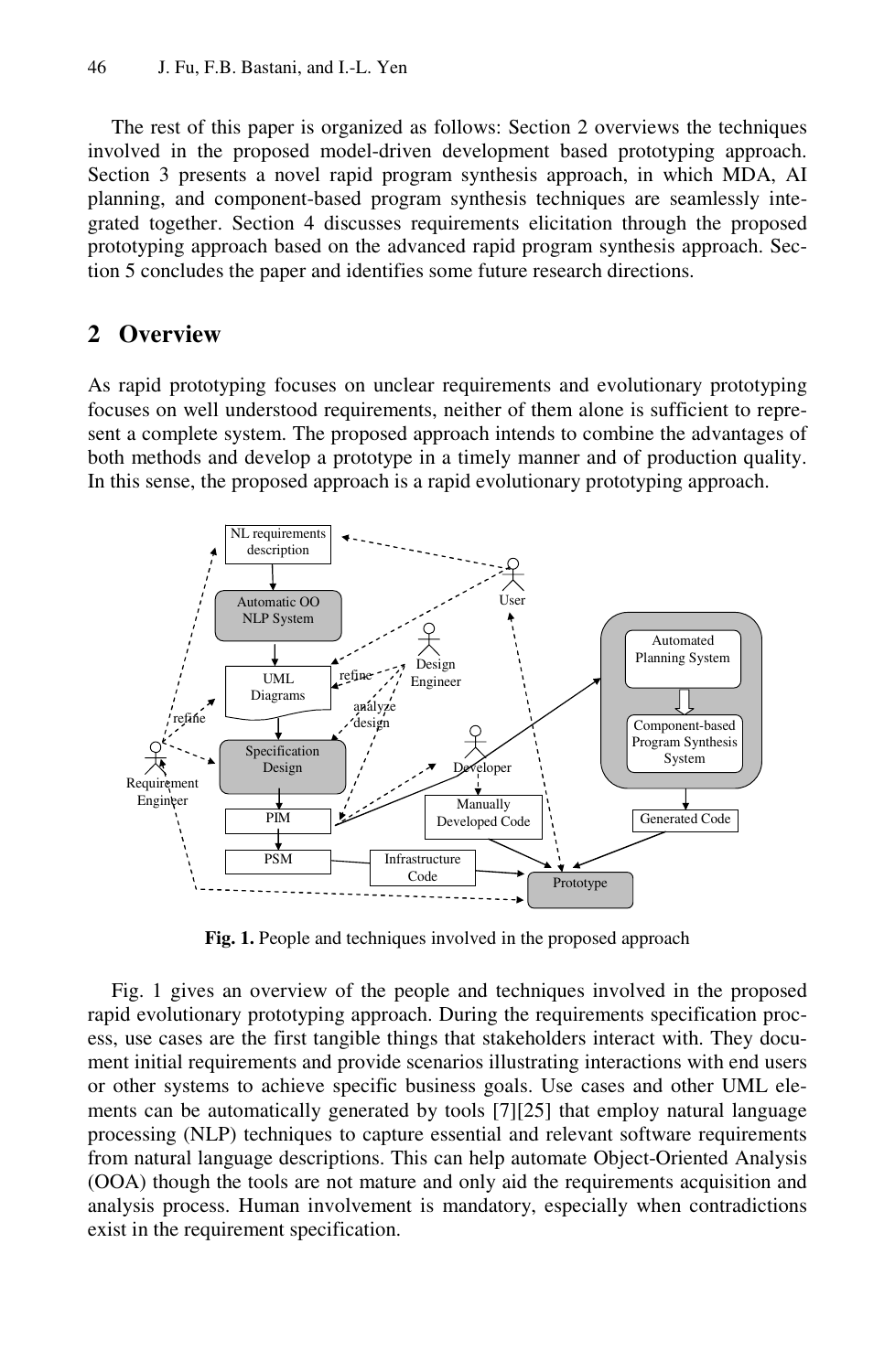The rest of this paper is organized as follows: Section 2 overviews the techniques involved in the proposed model-driven development based prototyping approach. Section 3 presents a novel rapid program synthesis approach, in which MDA, AI planning, and component-based program synthesis techniques are seamlessly integrated together. Section 4 discusses requirements elicitation through the proposed prototyping approach based on the advanced rapid program synthesis approach. Section 5 concludes the paper and identifies some future research directions.

## **2 Overview**

As rapid prototyping focuses on unclear requirements and evolutionary prototyping focuses on well understood requirements, neither of them alone is sufficient to represent a complete system. The proposed approach intends to combine the advantages of both methods and develop a prototype in a timely manner and of production quality. In this sense, the proposed approach is a rapid evolutionary prototyping approach.



**Fig. 1.** People and techniques involved in the proposed approach

Fig. 1 gives an overview of the people and techniques involved in the proposed rapid evolutionary prototyping approach. During the requirements specification process, use cases are the first tangible things that stakeholders interact with. They document initial requirements and provide scenarios illustrating interactions with end users or other systems to achieve specific business goals. Use cases and other UML elements can be automatically generated by tools [7][25] that employ natural language processing (NLP) techniques to capture essential and relevant software requirements from natural language descriptions. This can help automate Object-Oriented Analysis (OOA) though the tools are not mature and only aid the requirements acquisition and analysis process. Human involvement is mandatory, especially when contradictions exist in the requirement specification.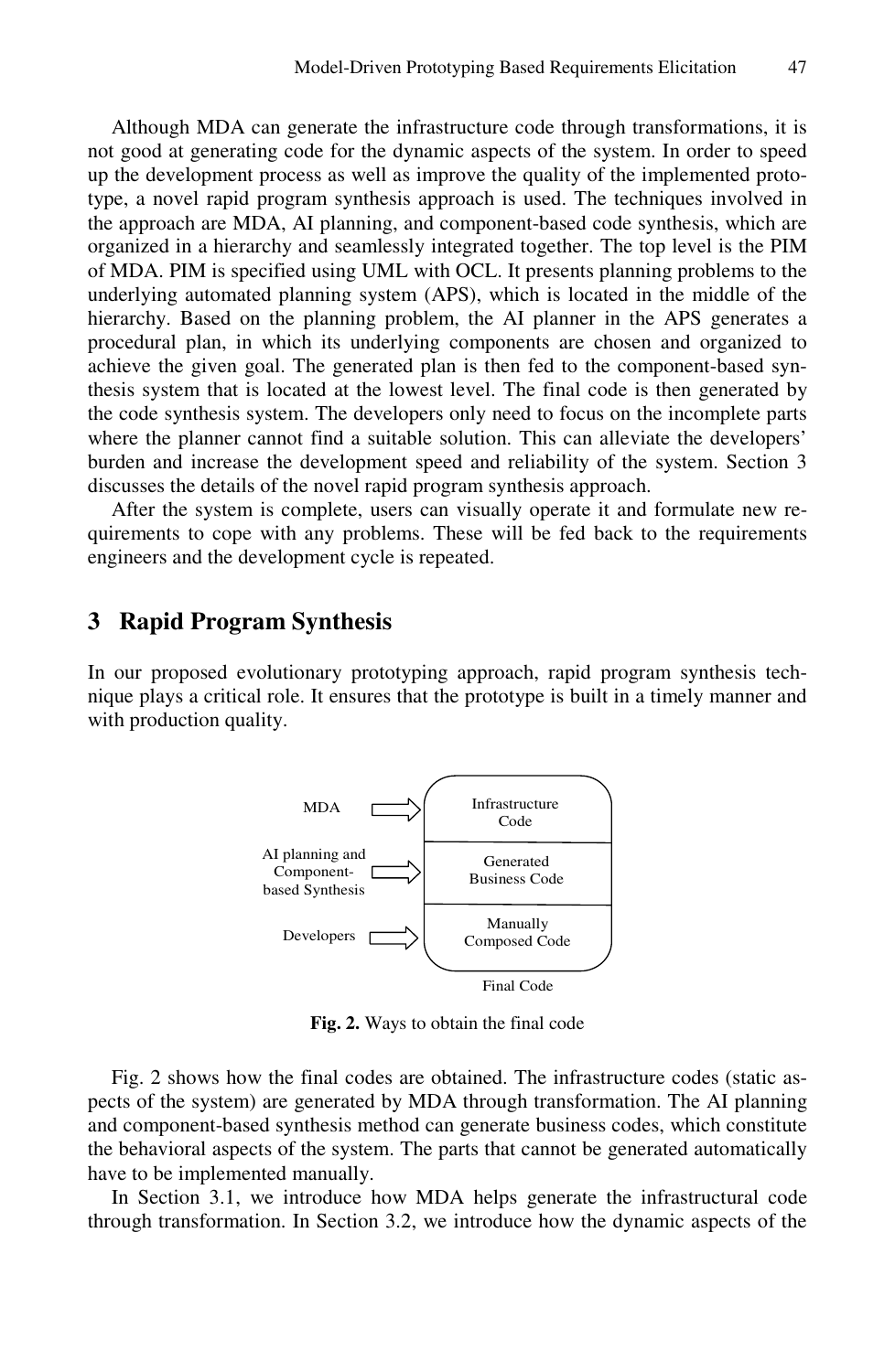Although MDA can generate the infrastructure code through transformations, it is not good at generating code for the dynamic aspects of the system. In order to speed up the development process as well as improve the quality of the implemented prototype, a novel rapid program synthesis approach is used. The techniques involved in the approach are MDA, AI planning, and component-based code synthesis, which are organized in a hierarchy and seamlessly integrated together. The top level is the PIM of MDA. PIM is specified using UML with OCL. It presents planning problems to the underlying automated planning system (APS), which is located in the middle of the hierarchy. Based on the planning problem, the AI planner in the APS generates a procedural plan, in which its underlying components are chosen and organized to achieve the given goal. The generated plan is then fed to the component-based synthesis system that is located at the lowest level. The final code is then generated by the code synthesis system. The developers only need to focus on the incomplete parts where the planner cannot find a suitable solution. This can alleviate the developers' burden and increase the development speed and reliability of the system. Section 3 discusses the details of the novel rapid program synthesis approach.

After the system is complete, users can visually operate it and formulate new requirements to cope with any problems. These will be fed back to the requirements engineers and the development cycle is repeated.

## **3 Rapid Program Synthesis**

In our proposed evolutionary prototyping approach, rapid program synthesis technique plays a critical role. It ensures that the prototype is built in a timely manner and with production quality.



**Fig. 2.** Ways to obtain the final code

Fig. 2 shows how the final codes are obtained. The infrastructure codes (static aspects of the system) are generated by MDA through transformation. The AI planning and component-based synthesis method can generate business codes, which constitute the behavioral aspects of the system. The parts that cannot be generated automatically have to be implemented manually.

In Section 3.1, we introduce how MDA helps generate the infrastructural code through transformation. In Section 3.2, we introduce how the dynamic aspects of the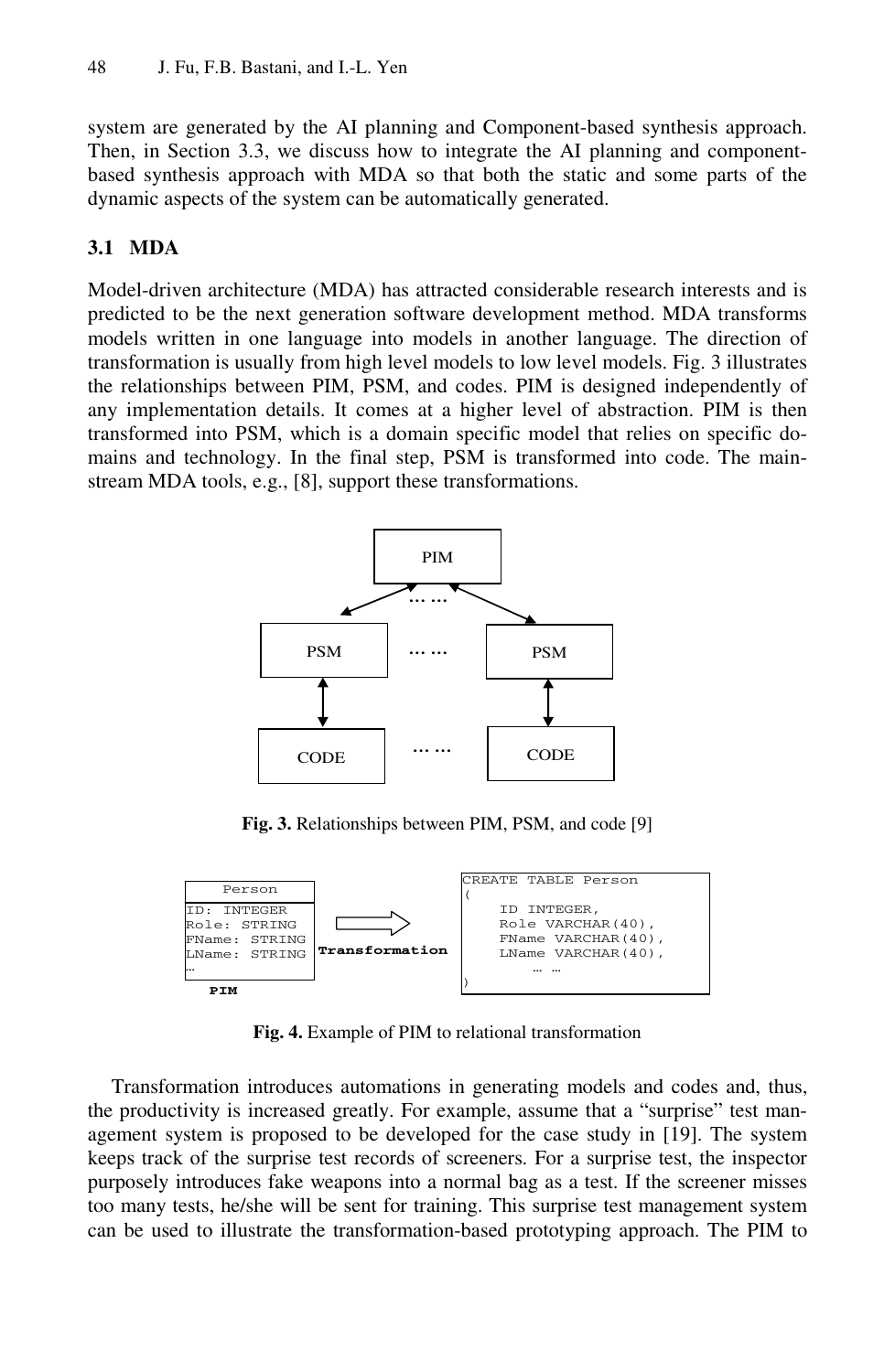system are generated by the AI planning and Component-based synthesis approach. Then, in Section 3.3, we discuss how to integrate the AI planning and componentbased synthesis approach with MDA so that both the static and some parts of the dynamic aspects of the system can be automatically generated.

### **3.1 MDA**

Model-driven architecture (MDA) has attracted considerable research interests and is predicted to be the next generation software development method. MDA transforms models written in one language into models in another language. The direction of transformation is usually from high level models to low level models. Fig. 3 illustrates the relationships between PIM, PSM, and codes. PIM is designed independently of any implementation details. It comes at a higher level of abstraction. PIM is then transformed into PSM, which is a domain specific model that relies on specific domains and technology. In the final step, PSM is transformed into code. The mainstream MDA tools, e.g., [8], support these transformations.



**Fig. 3.** Relationships between PIM, PSM, and code [9]



**Fig. 4.** Example of PIM to relational transformation

Transformation introduces automations in generating models and codes and, thus, the productivity is increased greatly. For example, assume that a "surprise" test management system is proposed to be developed for the case study in [19]. The system keeps track of the surprise test records of screeners. For a surprise test, the inspector purposely introduces fake weapons into a normal bag as a test. If the screener misses too many tests, he/she will be sent for training. This surprise test management system can be used to illustrate the transformation-based prototyping approach. The PIM to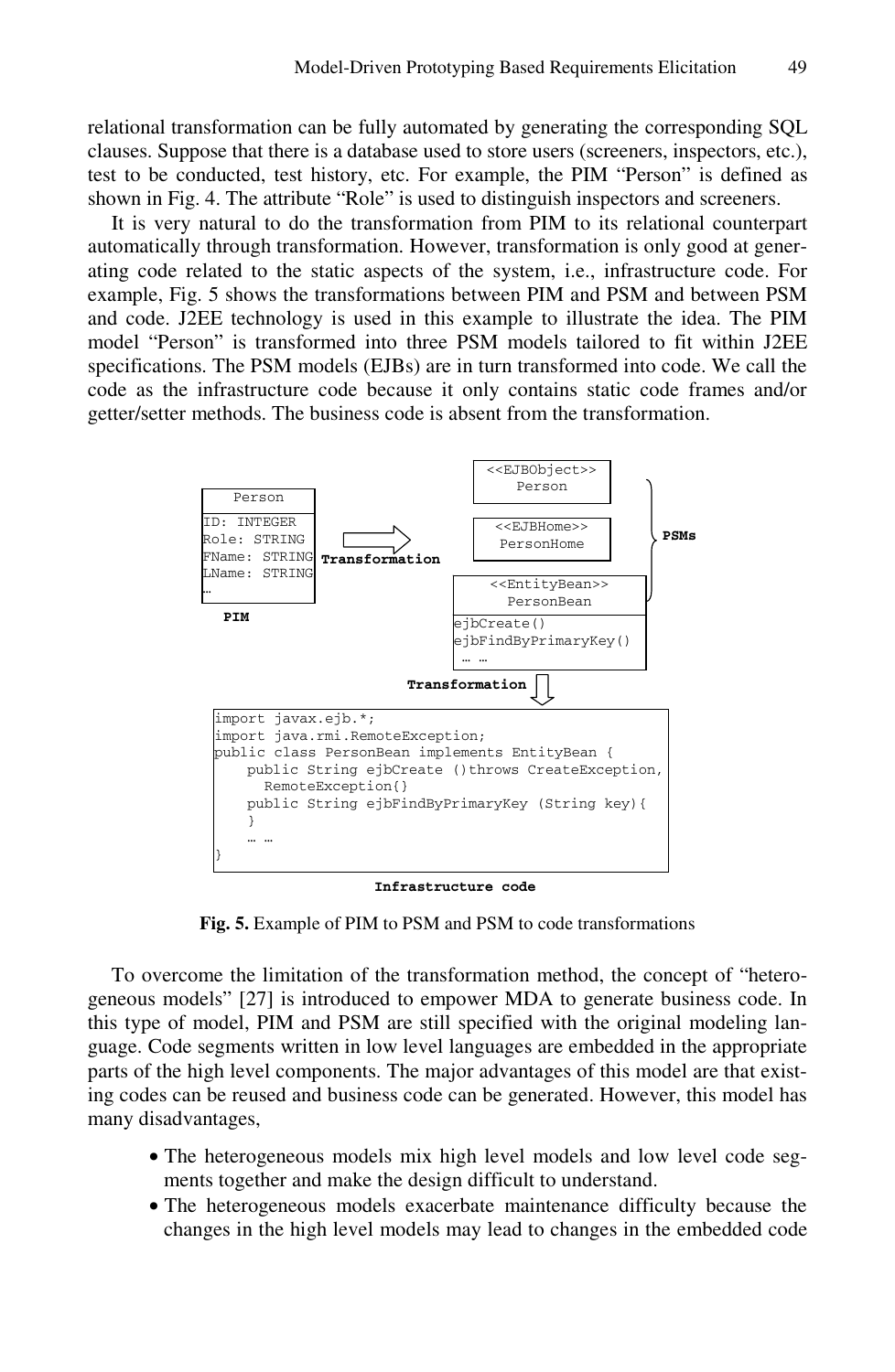relational transformation can be fully automated by generating the corresponding SQL clauses. Suppose that there is a database used to store users (screeners, inspectors, etc.), test to be conducted, test history, etc. For example, the PIM "Person" is defined as shown in Fig. 4. The attribute "Role" is used to distinguish inspectors and screeners.

It is very natural to do the transformation from PIM to its relational counterpart automatically through transformation. However, transformation is only good at generating code related to the static aspects of the system, i.e., infrastructure code. For example, Fig. 5 shows the transformations between PIM and PSM and between PSM and code. J2EE technology is used in this example to illustrate the idea. The PIM model "Person" is transformed into three PSM models tailored to fit within J2EE specifications. The PSM models (EJBs) are in turn transformed into code. We call the code as the infrastructure code because it only contains static code frames and/or getter/setter methods. The business code is absent from the transformation.



**Infrastructure code** 

**Fig. 5.** Example of PIM to PSM and PSM to code transformations

To overcome the limitation of the transformation method, the concept of "heterogeneous models" [27] is introduced to empower MDA to generate business code. In this type of model, PIM and PSM are still specified with the original modeling language. Code segments written in low level languages are embedded in the appropriate parts of the high level components. The major advantages of this model are that existing codes can be reused and business code can be generated. However, this model has many disadvantages,

- The heterogeneous models mix high level models and low level code segments together and make the design difficult to understand.
- The heterogeneous models exacerbate maintenance difficulty because the changes in the high level models may lead to changes in the embedded code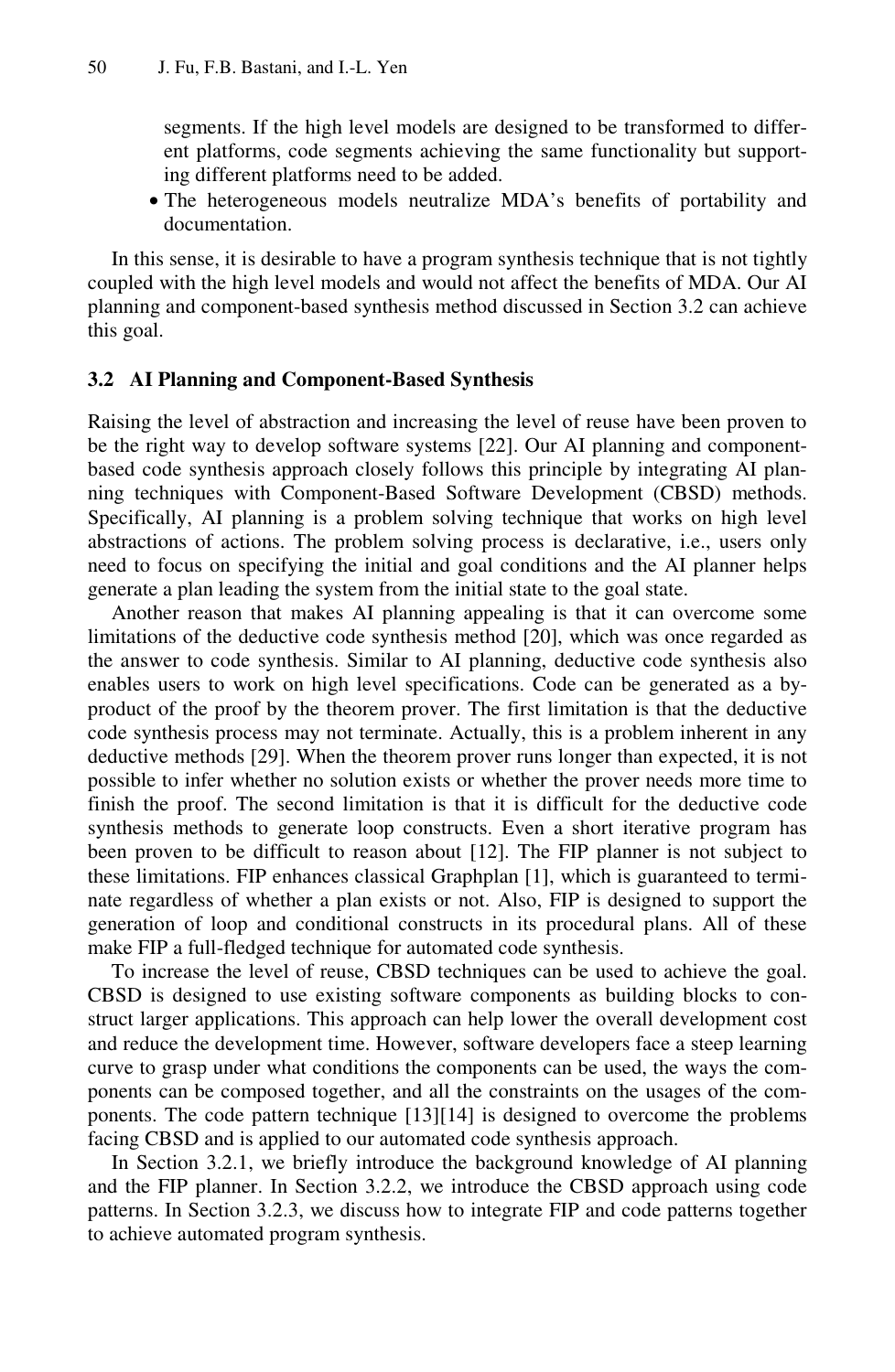segments. If the high level models are designed to be transformed to different platforms, code segments achieving the same functionality but supporting different platforms need to be added.

• The heterogeneous models neutralize MDA's benefits of portability and documentation.

In this sense, it is desirable to have a program synthesis technique that is not tightly coupled with the high level models and would not affect the benefits of MDA. Our AI planning and component-based synthesis method discussed in Section 3.2 can achieve this goal.

#### **3.2 AI Planning and Component-Based Synthesis**

Raising the level of abstraction and increasing the level of reuse have been proven to be the right way to develop software systems [22]. Our AI planning and componentbased code synthesis approach closely follows this principle by integrating AI planning techniques with Component-Based Software Development (CBSD) methods. Specifically, AI planning is a problem solving technique that works on high level abstractions of actions. The problem solving process is declarative, i.e., users only need to focus on specifying the initial and goal conditions and the AI planner helps generate a plan leading the system from the initial state to the goal state.

Another reason that makes AI planning appealing is that it can overcome some limitations of the deductive code synthesis method [20], which was once regarded as the answer to code synthesis. Similar to AI planning, deductive code synthesis also enables users to work on high level specifications. Code can be generated as a byproduct of the proof by the theorem prover. The first limitation is that the deductive code synthesis process may not terminate. Actually, this is a problem inherent in any deductive methods [29]. When the theorem prover runs longer than expected, it is not possible to infer whether no solution exists or whether the prover needs more time to finish the proof. The second limitation is that it is difficult for the deductive code synthesis methods to generate loop constructs. Even a short iterative program has been proven to be difficult to reason about [12]. The FIP planner is not subject to these limitations. FIP enhances classical Graphplan [1], which is guaranteed to terminate regardless of whether a plan exists or not. Also, FIP is designed to support the generation of loop and conditional constructs in its procedural plans. All of these make FIP a full-fledged technique for automated code synthesis.

To increase the level of reuse, CBSD techniques can be used to achieve the goal. CBSD is designed to use existing software components as building blocks to construct larger applications. This approach can help lower the overall development cost and reduce the development time. However, software developers face a steep learning curve to grasp under what conditions the components can be used, the ways the components can be composed together, and all the constraints on the usages of the components. The code pattern technique [13][14] is designed to overcome the problems facing CBSD and is applied to our automated code synthesis approach.

In Section 3.2.1, we briefly introduce the background knowledge of AI planning and the FIP planner. In Section 3.2.2, we introduce the CBSD approach using code patterns. In Section 3.2.3, we discuss how to integrate FIP and code patterns together to achieve automated program synthesis.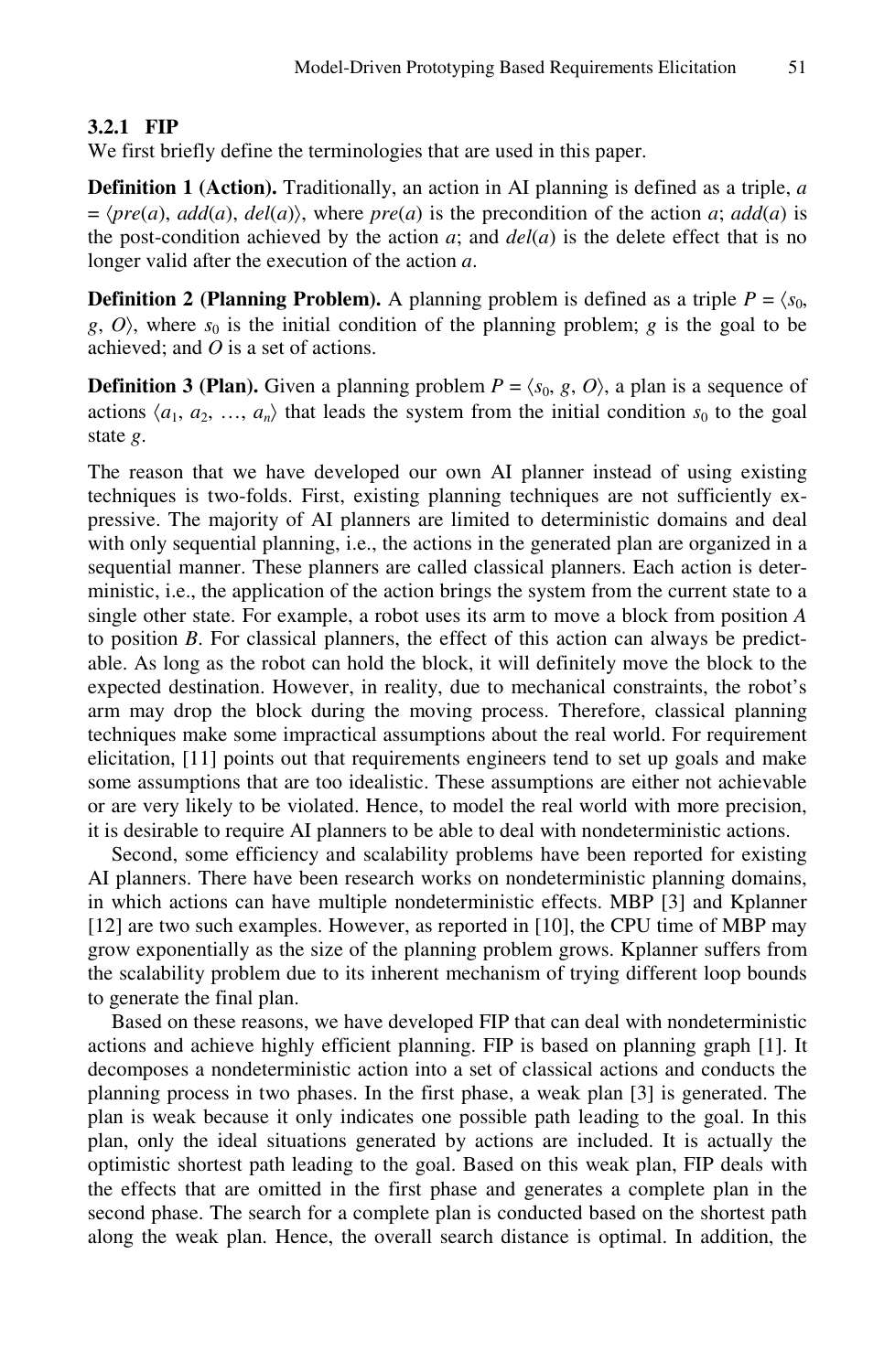#### **3.2.1 FIP**

We first briefly define the terminologies that are used in this paper.

**Definition 1 (Action).** Traditionally, an action in AI planning is defined as a triple, *a*  $= \langle pre(a), add(a), del(a) \rangle$ , where  $pre(a)$  is the precondition of the action *a*; *add*(*a*) is the post-condition achieved by the action  $a$ ; and  $del(a)$  is the delete effect that is no longer valid after the execution of the action *a*.

**Definition 2 (Planning Problem).** A planning problem is defined as a triple  $P = \langle s_0, \rangle$  $g, O$ ), where  $s_0$  is the initial condition of the planning problem; *g* is the goal to be achieved; and *O* is a set of actions.

**Definition 3 (Plan).** Given a planning problem  $P = \langle s_0, g, O \rangle$ , a plan is a sequence of actions  $\langle a_1, a_2, ..., a_n \rangle$  that leads the system from the initial condition  $s_0$  to the goal state *g*.

The reason that we have developed our own AI planner instead of using existing techniques is two-folds. First, existing planning techniques are not sufficiently expressive. The majority of AI planners are limited to deterministic domains and deal with only sequential planning, i.e., the actions in the generated plan are organized in a sequential manner. These planners are called classical planners. Each action is deterministic, i.e., the application of the action brings the system from the current state to a single other state. For example, a robot uses its arm to move a block from position *A* to position *B*. For classical planners, the effect of this action can always be predictable. As long as the robot can hold the block, it will definitely move the block to the expected destination. However, in reality, due to mechanical constraints, the robot's arm may drop the block during the moving process. Therefore, classical planning techniques make some impractical assumptions about the real world. For requirement elicitation, [11] points out that requirements engineers tend to set up goals and make some assumptions that are too idealistic. These assumptions are either not achievable or are very likely to be violated. Hence, to model the real world with more precision, it is desirable to require AI planners to be able to deal with nondeterministic actions.

Second, some efficiency and scalability problems have been reported for existing AI planners. There have been research works on nondeterministic planning domains, in which actions can have multiple nondeterministic effects. MBP [3] and Kplanner [12] are two such examples. However, as reported in [10], the CPU time of MBP may grow exponentially as the size of the planning problem grows. Kplanner suffers from the scalability problem due to its inherent mechanism of trying different loop bounds to generate the final plan.

Based on these reasons, we have developed FIP that can deal with nondeterministic actions and achieve highly efficient planning. FIP is based on planning graph [1]. It decomposes a nondeterministic action into a set of classical actions and conducts the planning process in two phases. In the first phase, a weak plan [3] is generated. The plan is weak because it only indicates one possible path leading to the goal. In this plan, only the ideal situations generated by actions are included. It is actually the optimistic shortest path leading to the goal. Based on this weak plan, FIP deals with the effects that are omitted in the first phase and generates a complete plan in the second phase. The search for a complete plan is conducted based on the shortest path along the weak plan. Hence, the overall search distance is optimal. In addition, the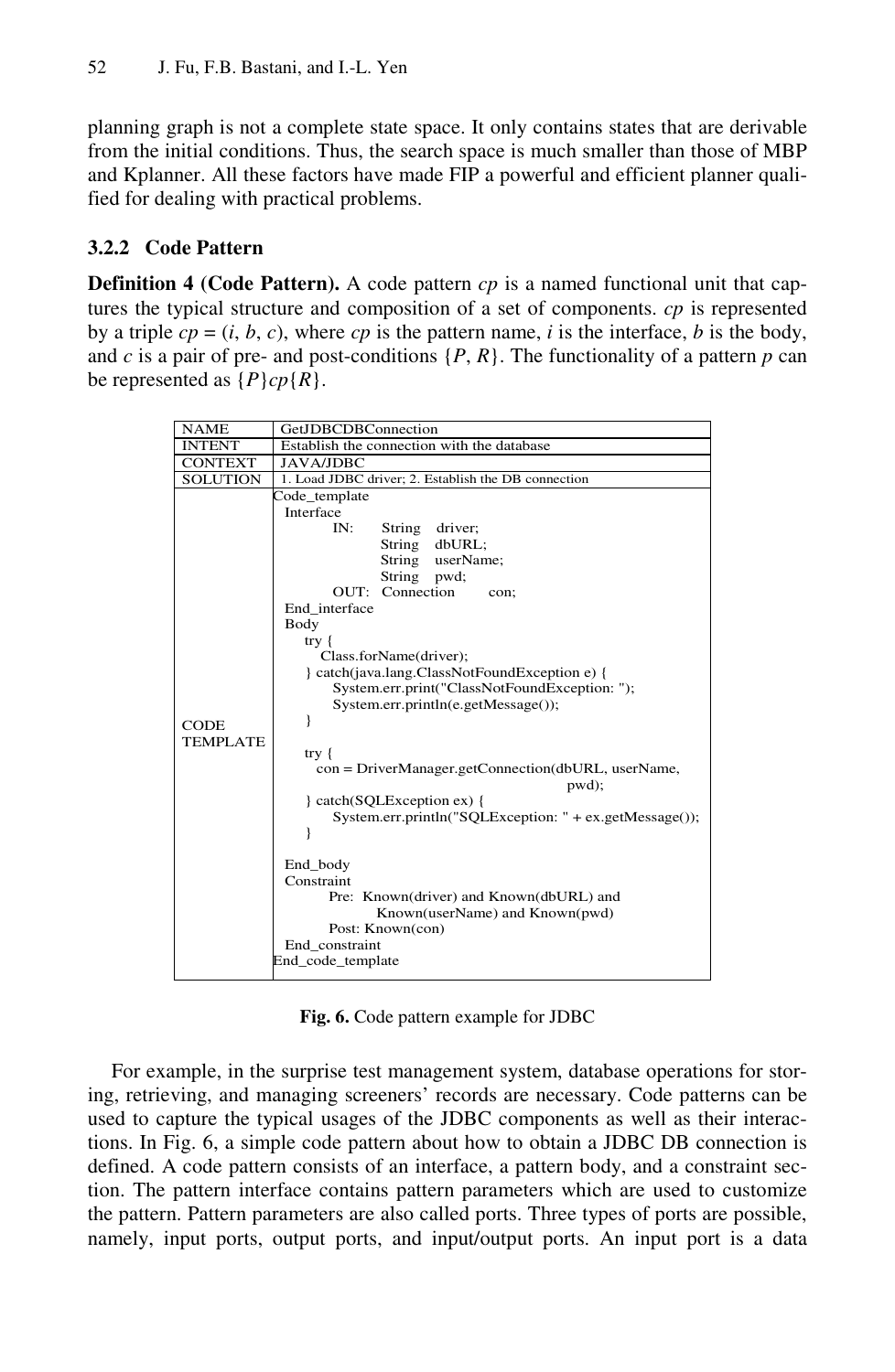planning graph is not a complete state space. It only contains states that are derivable from the initial conditions. Thus, the search space is much smaller than those of MBP and Kplanner. All these factors have made FIP a powerful and efficient planner qualified for dealing with practical problems.

### **3.2.2 Code Pattern**

**Definition 4 (Code Pattern).** A code pattern *cp* is a named functional unit that captures the typical structure and composition of a set of components. *cp* is represented by a triple  $cp = (i, b, c)$ , where  $cp$  is the pattern name, *i* is the interface, *b* is the body, and *c* is a pair of pre- and post-conditions  $\{P, R\}$ . The functionality of a pattern *p* can be represented as  $\{P\}cp\{R\}$ .

| <b>NAME</b>             | <b>GetJDBCDBConnection</b>                                                                                                                                                                                                                                                                                                                                                                                                                                                                                                                                                                                                                                                                 |
|-------------------------|--------------------------------------------------------------------------------------------------------------------------------------------------------------------------------------------------------------------------------------------------------------------------------------------------------------------------------------------------------------------------------------------------------------------------------------------------------------------------------------------------------------------------------------------------------------------------------------------------------------------------------------------------------------------------------------------|
| <b>INTENT</b>           | Establish the connection with the database                                                                                                                                                                                                                                                                                                                                                                                                                                                                                                                                                                                                                                                 |
| <b>CONTEXT</b>          | <b>JAVA/JDBC</b>                                                                                                                                                                                                                                                                                                                                                                                                                                                                                                                                                                                                                                                                           |
| <b>SOLUTION</b>         | 1. Load JDBC driver; 2. Establish the DB connection                                                                                                                                                                                                                                                                                                                                                                                                                                                                                                                                                                                                                                        |
| CODE<br><b>TEMPLATE</b> | Code_template<br>Interface<br>IN:<br>String driver;<br>String dbURL;<br>userName;<br>String<br>String pwd:<br>OUT: Connection<br>con;<br>End_interface<br>Body<br>try $\{$<br>Class.forName(driver);<br>} catch(java.lang.ClassNotFoundException e) {<br>System.err.print("ClassNotFoundException:");<br>System.err.println(e.getMessage());<br>ł<br>try $\{$<br>con = DriverManager.getConnection(dbURL, userName,<br>pwd);<br>catch(SQLException ex) {<br>System.err.println("SQLException: " + ex.getMessage());<br>ł<br>End_body<br>Constraint<br>Pre: Known(driver) and Known(dbURL) and<br>Known(userName) and Known(pwd)<br>Post: Known(con)<br>End constraint<br>End code template |

**Fig. 6.** Code pattern example for JDBC

For example, in the surprise test management system, database operations for storing, retrieving, and managing screeners' records are necessary. Code patterns can be used to capture the typical usages of the JDBC components as well as their interactions. In Fig. 6, a simple code pattern about how to obtain a JDBC DB connection is defined. A code pattern consists of an interface, a pattern body, and a constraint section. The pattern interface contains pattern parameters which are used to customize the pattern. Pattern parameters are also called ports. Three types of ports are possible, namely, input ports, output ports, and input/output ports. An input port is a data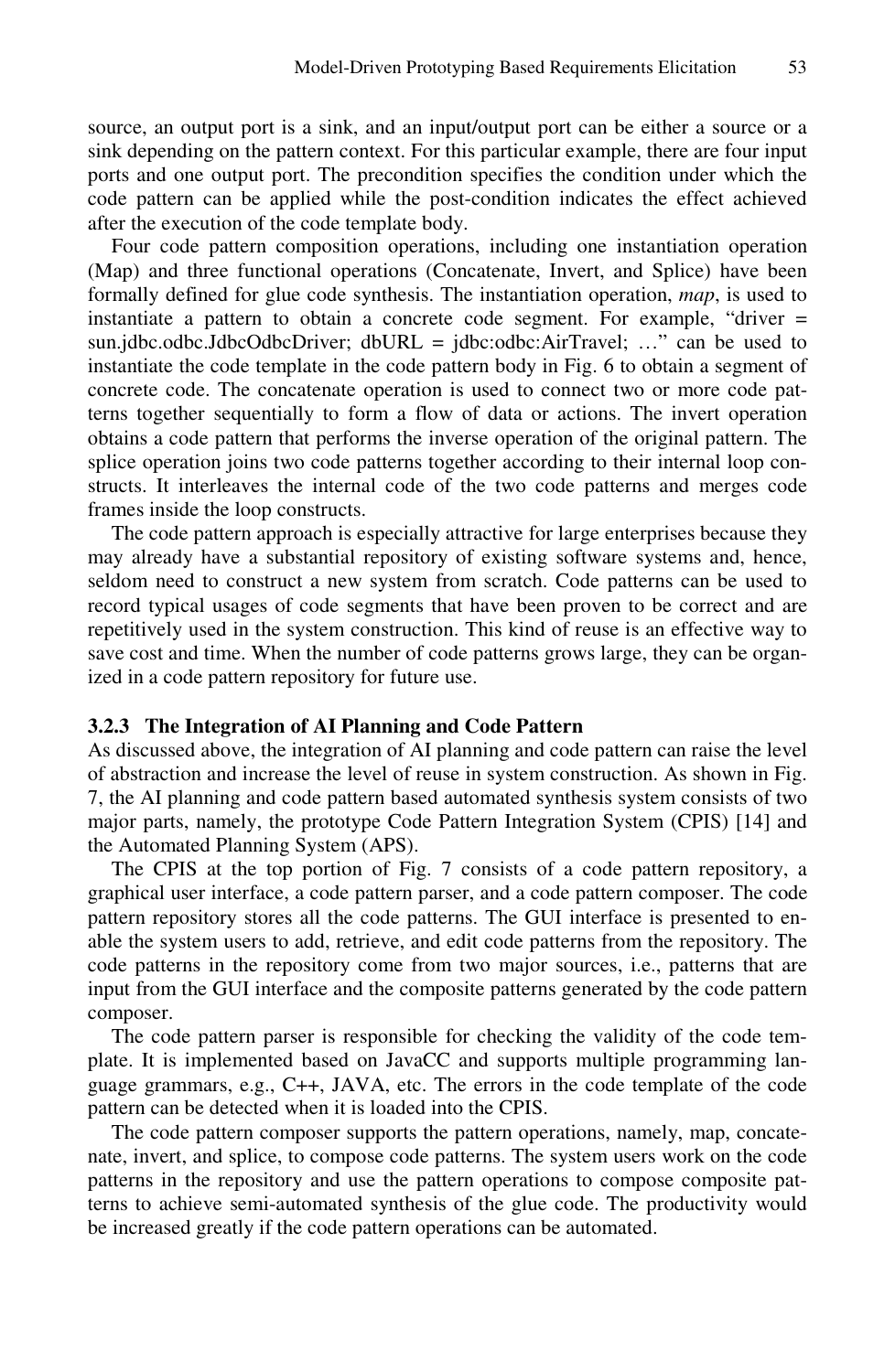source, an output port is a sink, and an input/output port can be either a source or a sink depending on the pattern context. For this particular example, there are four input ports and one output port. The precondition specifies the condition under which the code pattern can be applied while the post-condition indicates the effect achieved after the execution of the code template body.

Four code pattern composition operations, including one instantiation operation (Map) and three functional operations (Concatenate, Invert, and Splice) have been formally defined for glue code synthesis. The instantiation operation, *map*, is used to instantiate a pattern to obtain a concrete code segment. For example, "driver = sun.jdbc.odbc.JdbcOdbcDriver; dbURL = jdbc:odbc:AirTravel; …" can be used to instantiate the code template in the code pattern body in Fig. 6 to obtain a segment of concrete code. The concatenate operation is used to connect two or more code patterns together sequentially to form a flow of data or actions. The invert operation obtains a code pattern that performs the inverse operation of the original pattern. The splice operation joins two code patterns together according to their internal loop constructs. It interleaves the internal code of the two code patterns and merges code frames inside the loop constructs.

The code pattern approach is especially attractive for large enterprises because they may already have a substantial repository of existing software systems and, hence, seldom need to construct a new system from scratch. Code patterns can be used to record typical usages of code segments that have been proven to be correct and are repetitively used in the system construction. This kind of reuse is an effective way to save cost and time. When the number of code patterns grows large, they can be organized in a code pattern repository for future use.

#### **3.2.3 The Integration of AI Planning and Code Pattern**

As discussed above, the integration of AI planning and code pattern can raise the level of abstraction and increase the level of reuse in system construction. As shown in Fig. 7, the AI planning and code pattern based automated synthesis system consists of two major parts, namely, the prototype Code Pattern Integration System (CPIS) [14] and the Automated Planning System (APS).

The CPIS at the top portion of Fig. 7 consists of a code pattern repository, a graphical user interface, a code pattern parser, and a code pattern composer. The code pattern repository stores all the code patterns. The GUI interface is presented to enable the system users to add, retrieve, and edit code patterns from the repository. The code patterns in the repository come from two major sources, i.e., patterns that are input from the GUI interface and the composite patterns generated by the code pattern composer.

The code pattern parser is responsible for checking the validity of the code template. It is implemented based on JavaCC and supports multiple programming language grammars, e.g., C++, JAVA, etc. The errors in the code template of the code pattern can be detected when it is loaded into the CPIS.

The code pattern composer supports the pattern operations, namely, map, concatenate, invert, and splice, to compose code patterns. The system users work on the code patterns in the repository and use the pattern operations to compose composite patterns to achieve semi-automated synthesis of the glue code. The productivity would be increased greatly if the code pattern operations can be automated.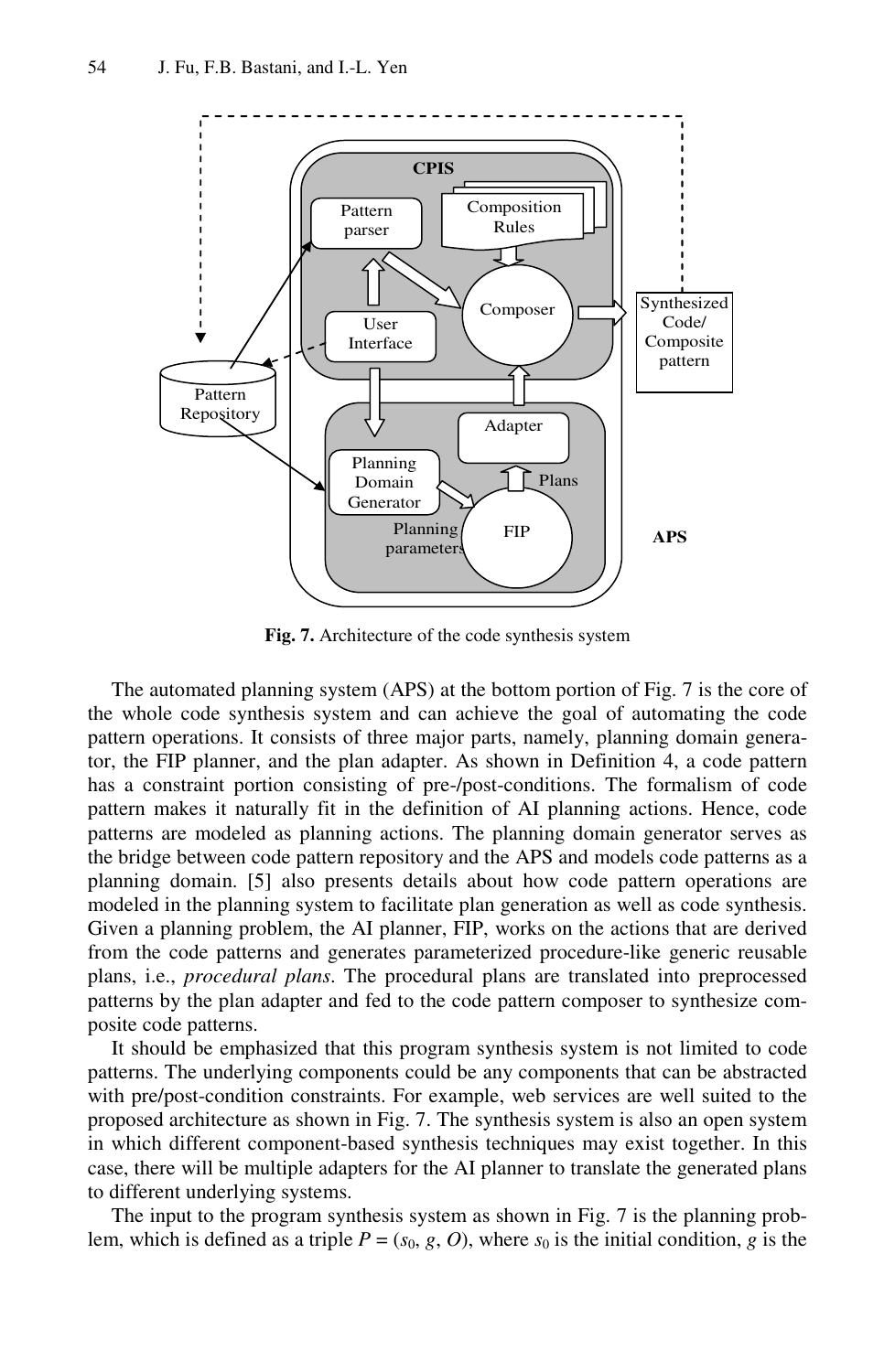

**Fig. 7.** Architecture of the code synthesis system

The automated planning system (APS) at the bottom portion of Fig. 7 is the core of the whole code synthesis system and can achieve the goal of automating the code pattern operations. It consists of three major parts, namely, planning domain generator, the FIP planner, and the plan adapter. As shown in Definition 4, a code pattern has a constraint portion consisting of pre-/post-conditions. The formalism of code pattern makes it naturally fit in the definition of AI planning actions. Hence, code patterns are modeled as planning actions. The planning domain generator serves as the bridge between code pattern repository and the APS and models code patterns as a planning domain. [5] also presents details about how code pattern operations are modeled in the planning system to facilitate plan generation as well as code synthesis. Given a planning problem, the AI planner, FIP, works on the actions that are derived from the code patterns and generates parameterized procedure-like generic reusable plans, i.e., *procedural plans*. The procedural plans are translated into preprocessed patterns by the plan adapter and fed to the code pattern composer to synthesize composite code patterns.

It should be emphasized that this program synthesis system is not limited to code patterns. The underlying components could be any components that can be abstracted with pre/post-condition constraints. For example, web services are well suited to the proposed architecture as shown in Fig. 7. The synthesis system is also an open system in which different component-based synthesis techniques may exist together. In this case, there will be multiple adapters for the AI planner to translate the generated plans to different underlying systems.

The input to the program synthesis system as shown in Fig. 7 is the planning problem, which is defined as a triple  $P = (s_0, g, O)$ , where  $s_0$  is the initial condition, *g* is the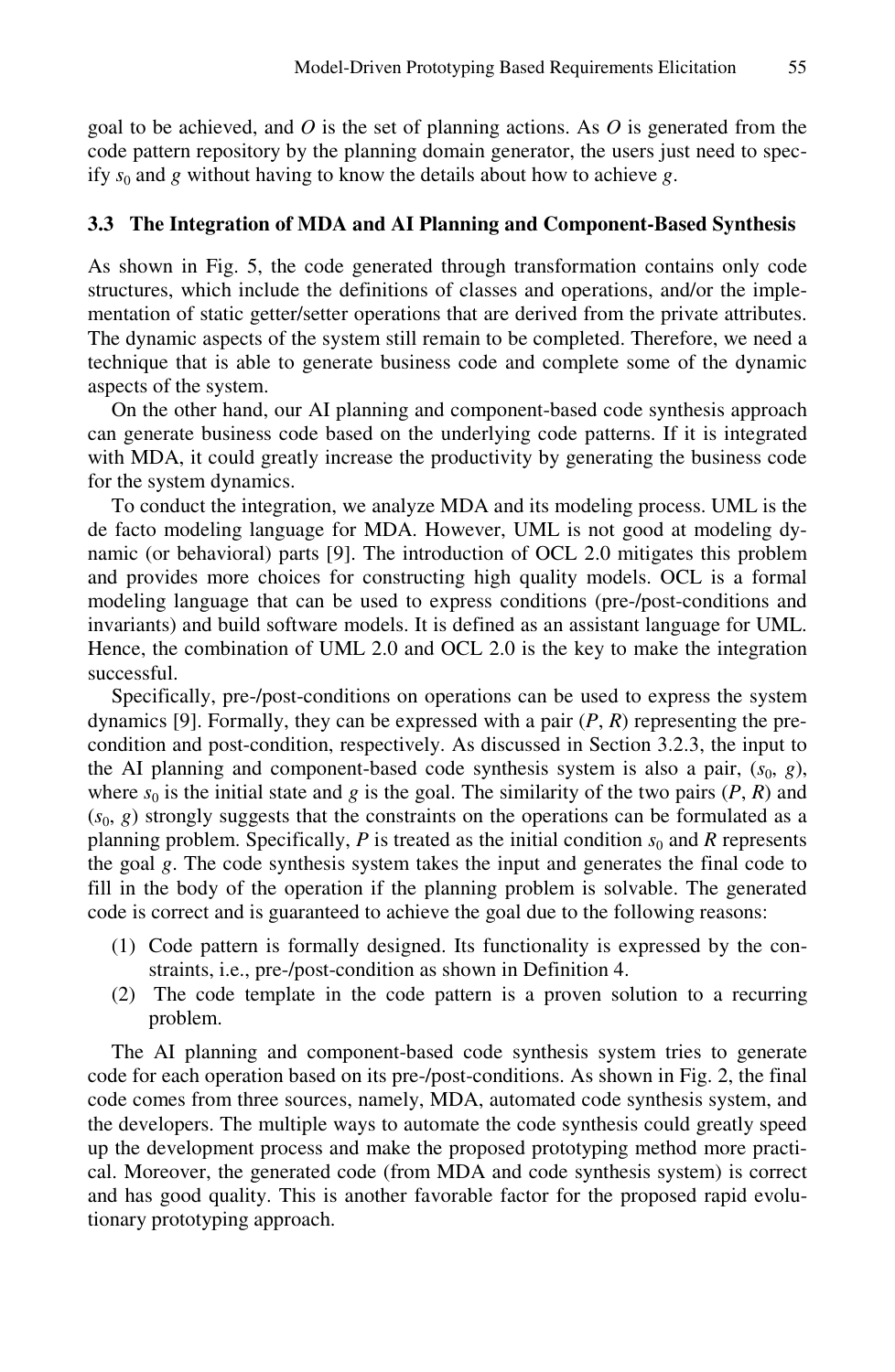goal to be achieved, and *O* is the set of planning actions. As *O* is generated from the code pattern repository by the planning domain generator, the users just need to specify *s*0 and *g* without having to know the details about how to achieve *g*.

#### **3.3 The Integration of MDA and AI Planning and Component-Based Synthesis**

As shown in Fig. 5, the code generated through transformation contains only code structures, which include the definitions of classes and operations, and/or the implementation of static getter/setter operations that are derived from the private attributes. The dynamic aspects of the system still remain to be completed. Therefore, we need a technique that is able to generate business code and complete some of the dynamic aspects of the system.

On the other hand, our AI planning and component-based code synthesis approach can generate business code based on the underlying code patterns. If it is integrated with MDA, it could greatly increase the productivity by generating the business code for the system dynamics.

To conduct the integration, we analyze MDA and its modeling process. UML is the de facto modeling language for MDA. However, UML is not good at modeling dynamic (or behavioral) parts [9]. The introduction of OCL 2.0 mitigates this problem and provides more choices for constructing high quality models. OCL is a formal modeling language that can be used to express conditions (pre-/post-conditions and invariants) and build software models. It is defined as an assistant language for UML. Hence, the combination of UML 2.0 and OCL 2.0 is the key to make the integration successful.

Specifically, pre-/post-conditions on operations can be used to express the system dynamics [9]. Formally, they can be expressed with a pair (*P*, *R*) representing the precondition and post-condition, respectively. As discussed in Section 3.2.3, the input to the AI planning and component-based code synthesis system is also a pair,  $(s_0, g)$ , where  $s_0$  is the initial state and *g* is the goal. The similarity of the two pairs  $(P, R)$  and  $(s<sub>0</sub>, g)$  strongly suggests that the constraints on the operations can be formulated as a planning problem. Specifically,  $P$  is treated as the initial condition  $s_0$  and  $R$  represents the goal *g*. The code synthesis system takes the input and generates the final code to fill in the body of the operation if the planning problem is solvable. The generated code is correct and is guaranteed to achieve the goal due to the following reasons:

- (1) Code pattern is formally designed. Its functionality is expressed by the constraints, i.e., pre-/post-condition as shown in Definition 4.
- (2) The code template in the code pattern is a proven solution to a recurring problem.

The AI planning and component-based code synthesis system tries to generate code for each operation based on its pre-/post-conditions. As shown in Fig. 2, the final code comes from three sources, namely, MDA, automated code synthesis system, and the developers. The multiple ways to automate the code synthesis could greatly speed up the development process and make the proposed prototyping method more practical. Moreover, the generated code (from MDA and code synthesis system) is correct and has good quality. This is another favorable factor for the proposed rapid evolutionary prototyping approach.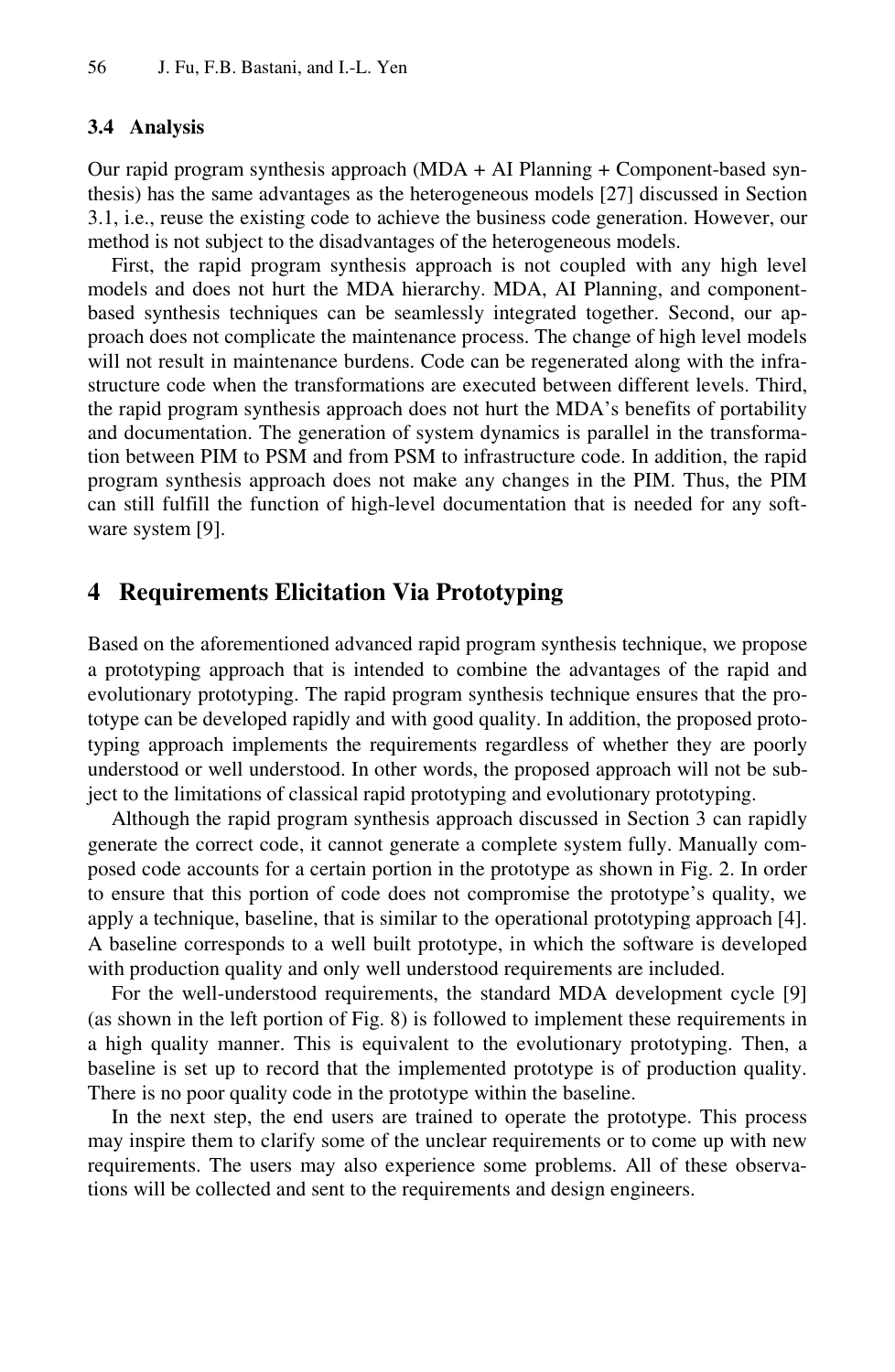#### **3.4 Analysis**

Our rapid program synthesis approach (MDA + AI Planning + Component-based synthesis) has the same advantages as the heterogeneous models [27] discussed in Section 3.1, i.e., reuse the existing code to achieve the business code generation. However, our method is not subject to the disadvantages of the heterogeneous models.

First, the rapid program synthesis approach is not coupled with any high level models and does not hurt the MDA hierarchy. MDA, AI Planning, and componentbased synthesis techniques can be seamlessly integrated together. Second, our approach does not complicate the maintenance process. The change of high level models will not result in maintenance burdens. Code can be regenerated along with the infrastructure code when the transformations are executed between different levels. Third, the rapid program synthesis approach does not hurt the MDA's benefits of portability and documentation. The generation of system dynamics is parallel in the transformation between PIM to PSM and from PSM to infrastructure code. In addition, the rapid program synthesis approach does not make any changes in the PIM. Thus, the PIM can still fulfill the function of high-level documentation that is needed for any software system [9].

## **4 Requirements Elicitation Via Prototyping**

Based on the aforementioned advanced rapid program synthesis technique, we propose a prototyping approach that is intended to combine the advantages of the rapid and evolutionary prototyping. The rapid program synthesis technique ensures that the prototype can be developed rapidly and with good quality. In addition, the proposed prototyping approach implements the requirements regardless of whether they are poorly understood or well understood. In other words, the proposed approach will not be subject to the limitations of classical rapid prototyping and evolutionary prototyping.

Although the rapid program synthesis approach discussed in Section 3 can rapidly generate the correct code, it cannot generate a complete system fully. Manually composed code accounts for a certain portion in the prototype as shown in Fig. 2. In order to ensure that this portion of code does not compromise the prototype's quality, we apply a technique, baseline, that is similar to the operational prototyping approach [4]. A baseline corresponds to a well built prototype, in which the software is developed with production quality and only well understood requirements are included.

For the well-understood requirements, the standard MDA development cycle [9] (as shown in the left portion of Fig. 8) is followed to implement these requirements in a high quality manner. This is equivalent to the evolutionary prototyping. Then, a baseline is set up to record that the implemented prototype is of production quality. There is no poor quality code in the prototype within the baseline.

In the next step, the end users are trained to operate the prototype. This process may inspire them to clarify some of the unclear requirements or to come up with new requirements. The users may also experience some problems. All of these observations will be collected and sent to the requirements and design engineers.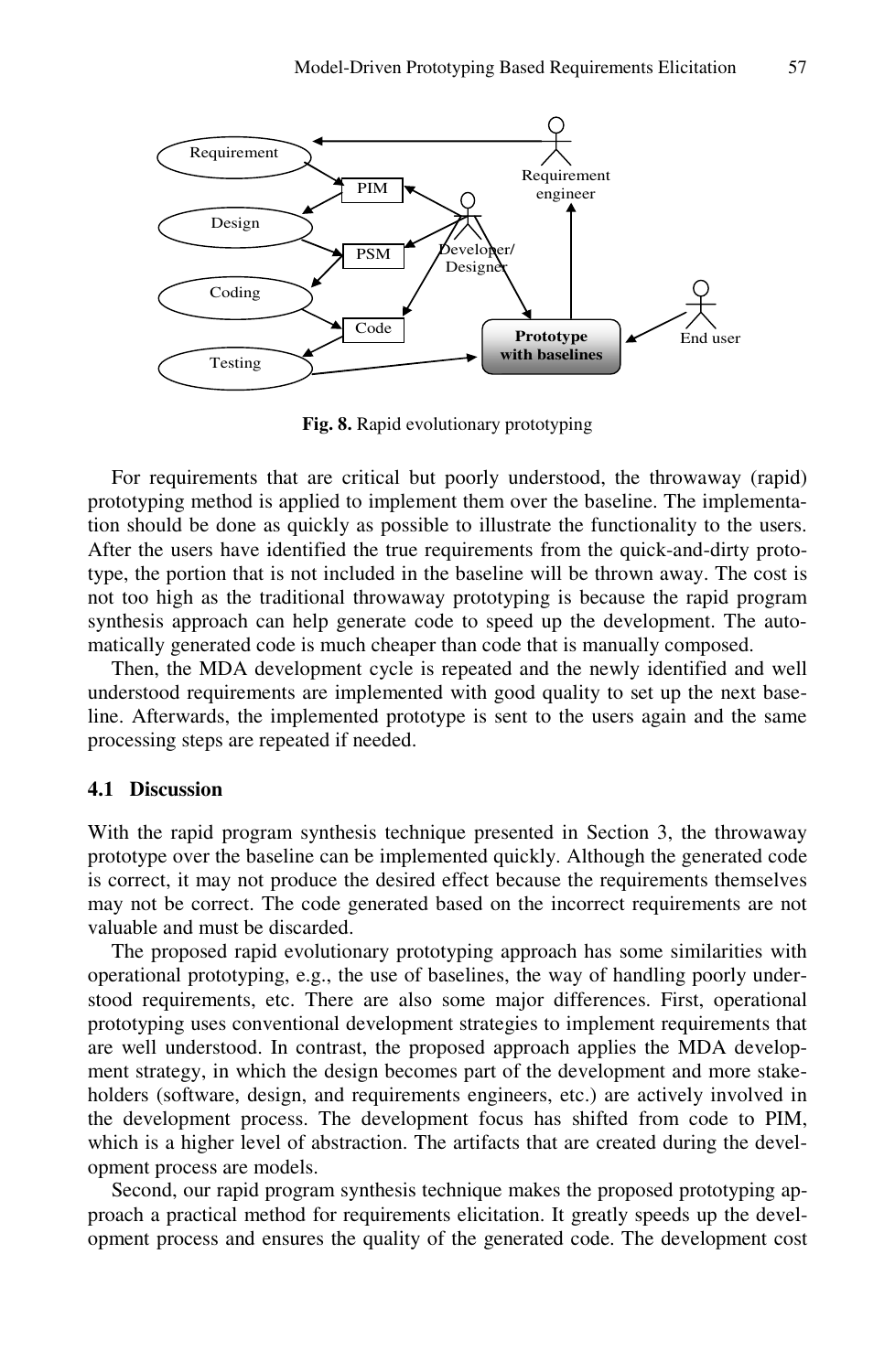

**Fig. 8.** Rapid evolutionary prototyping

For requirements that are critical but poorly understood, the throwaway (rapid) prototyping method is applied to implement them over the baseline. The implementation should be done as quickly as possible to illustrate the functionality to the users. After the users have identified the true requirements from the quick-and-dirty prototype, the portion that is not included in the baseline will be thrown away. The cost is not too high as the traditional throwaway prototyping is because the rapid program synthesis approach can help generate code to speed up the development. The automatically generated code is much cheaper than code that is manually composed.

Then, the MDA development cycle is repeated and the newly identified and well understood requirements are implemented with good quality to set up the next baseline. Afterwards, the implemented prototype is sent to the users again and the same processing steps are repeated if needed.

#### **4.1 Discussion**

With the rapid program synthesis technique presented in Section 3, the throwaway prototype over the baseline can be implemented quickly. Although the generated code is correct, it may not produce the desired effect because the requirements themselves may not be correct. The code generated based on the incorrect requirements are not valuable and must be discarded.

The proposed rapid evolutionary prototyping approach has some similarities with operational prototyping, e.g., the use of baselines, the way of handling poorly understood requirements, etc. There are also some major differences. First, operational prototyping uses conventional development strategies to implement requirements that are well understood. In contrast, the proposed approach applies the MDA development strategy, in which the design becomes part of the development and more stakeholders (software, design, and requirements engineers, etc.) are actively involved in the development process. The development focus has shifted from code to PIM, which is a higher level of abstraction. The artifacts that are created during the development process are models.

Second, our rapid program synthesis technique makes the proposed prototyping approach a practical method for requirements elicitation. It greatly speeds up the development process and ensures the quality of the generated code. The development cost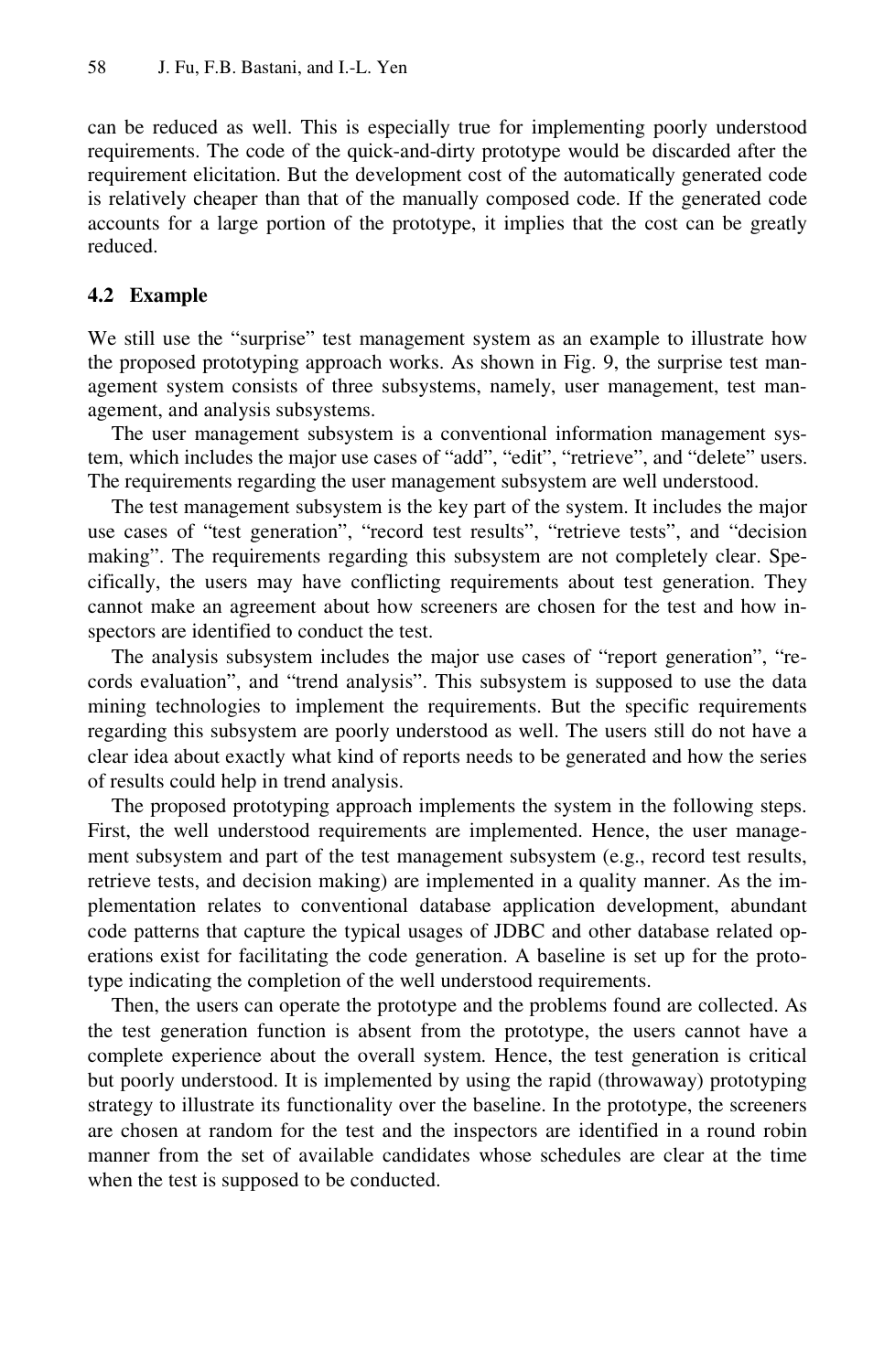can be reduced as well. This is especially true for implementing poorly understood requirements. The code of the quick-and-dirty prototype would be discarded after the requirement elicitation. But the development cost of the automatically generated code is relatively cheaper than that of the manually composed code. If the generated code accounts for a large portion of the prototype, it implies that the cost can be greatly reduced.

#### **4.2 Example**

We still use the "surprise" test management system as an example to illustrate how the proposed prototyping approach works. As shown in Fig. 9, the surprise test management system consists of three subsystems, namely, user management, test management, and analysis subsystems.

The user management subsystem is a conventional information management system, which includes the major use cases of "add", "edit", "retrieve", and "delete" users. The requirements regarding the user management subsystem are well understood.

The test management subsystem is the key part of the system. It includes the major use cases of "test generation", "record test results", "retrieve tests", and "decision making". The requirements regarding this subsystem are not completely clear. Specifically, the users may have conflicting requirements about test generation. They cannot make an agreement about how screeners are chosen for the test and how inspectors are identified to conduct the test.

The analysis subsystem includes the major use cases of "report generation", "records evaluation", and "trend analysis". This subsystem is supposed to use the data mining technologies to implement the requirements. But the specific requirements regarding this subsystem are poorly understood as well. The users still do not have a clear idea about exactly what kind of reports needs to be generated and how the series of results could help in trend analysis.

The proposed prototyping approach implements the system in the following steps. First, the well understood requirements are implemented. Hence, the user management subsystem and part of the test management subsystem (e.g., record test results, retrieve tests, and decision making) are implemented in a quality manner. As the implementation relates to conventional database application development, abundant code patterns that capture the typical usages of JDBC and other database related operations exist for facilitating the code generation. A baseline is set up for the prototype indicating the completion of the well understood requirements.

Then, the users can operate the prototype and the problems found are collected. As the test generation function is absent from the prototype, the users cannot have a complete experience about the overall system. Hence, the test generation is critical but poorly understood. It is implemented by using the rapid (throwaway) prototyping strategy to illustrate its functionality over the baseline. In the prototype, the screeners are chosen at random for the test and the inspectors are identified in a round robin manner from the set of available candidates whose schedules are clear at the time when the test is supposed to be conducted.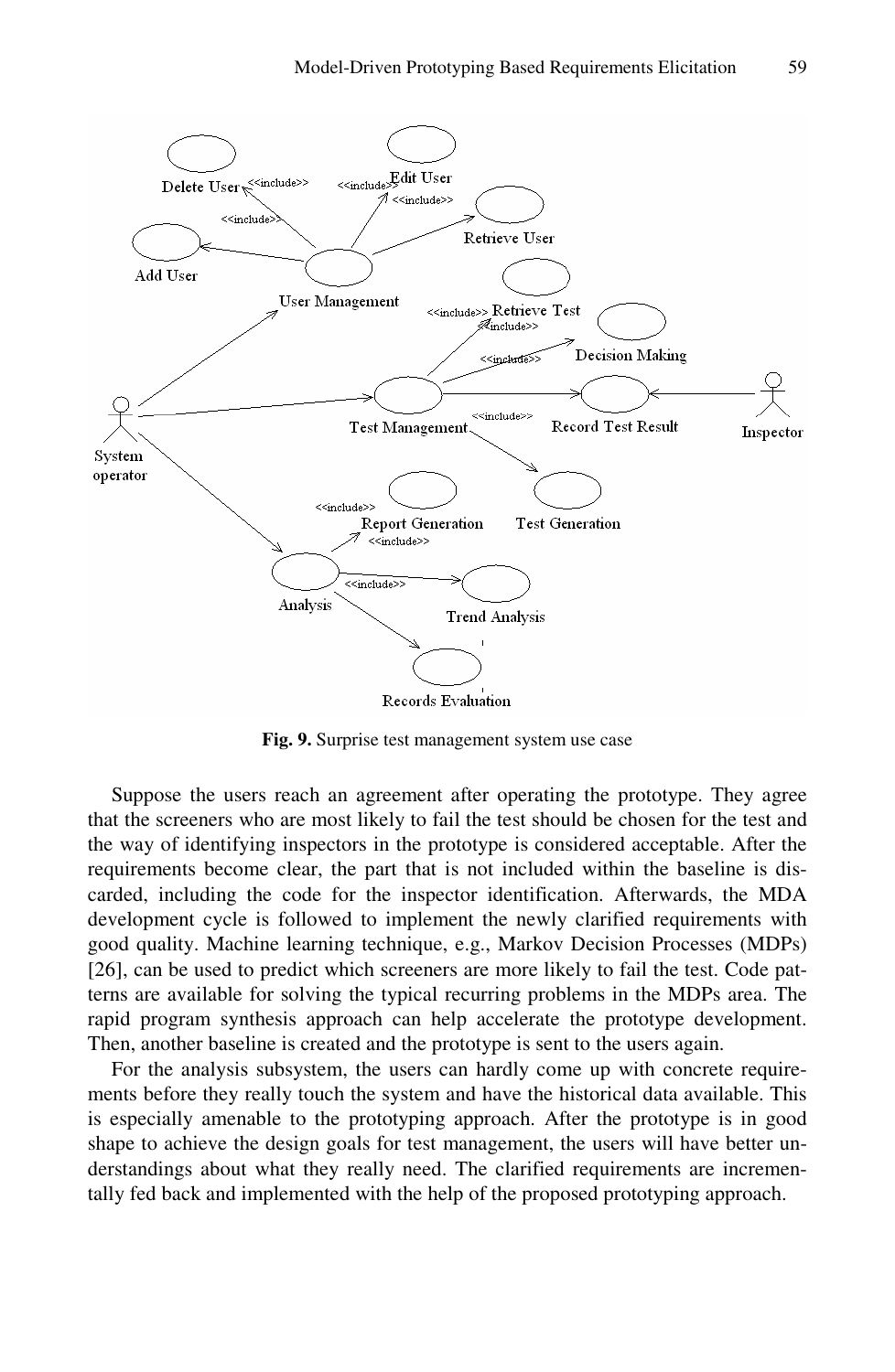

**Fig. 9.** Surprise test management system use case

Suppose the users reach an agreement after operating the prototype. They agree that the screeners who are most likely to fail the test should be chosen for the test and the way of identifying inspectors in the prototype is considered acceptable. After the requirements become clear, the part that is not included within the baseline is discarded, including the code for the inspector identification. Afterwards, the MDA development cycle is followed to implement the newly clarified requirements with good quality. Machine learning technique, e.g., Markov Decision Processes (MDPs) [26], can be used to predict which screeners are more likely to fail the test. Code patterns are available for solving the typical recurring problems in the MDPs area. The rapid program synthesis approach can help accelerate the prototype development. Then, another baseline is created and the prototype is sent to the users again.

For the analysis subsystem, the users can hardly come up with concrete requirements before they really touch the system and have the historical data available. This is especially amenable to the prototyping approach. After the prototype is in good shape to achieve the design goals for test management, the users will have better understandings about what they really need. The clarified requirements are incrementally fed back and implemented with the help of the proposed prototyping approach.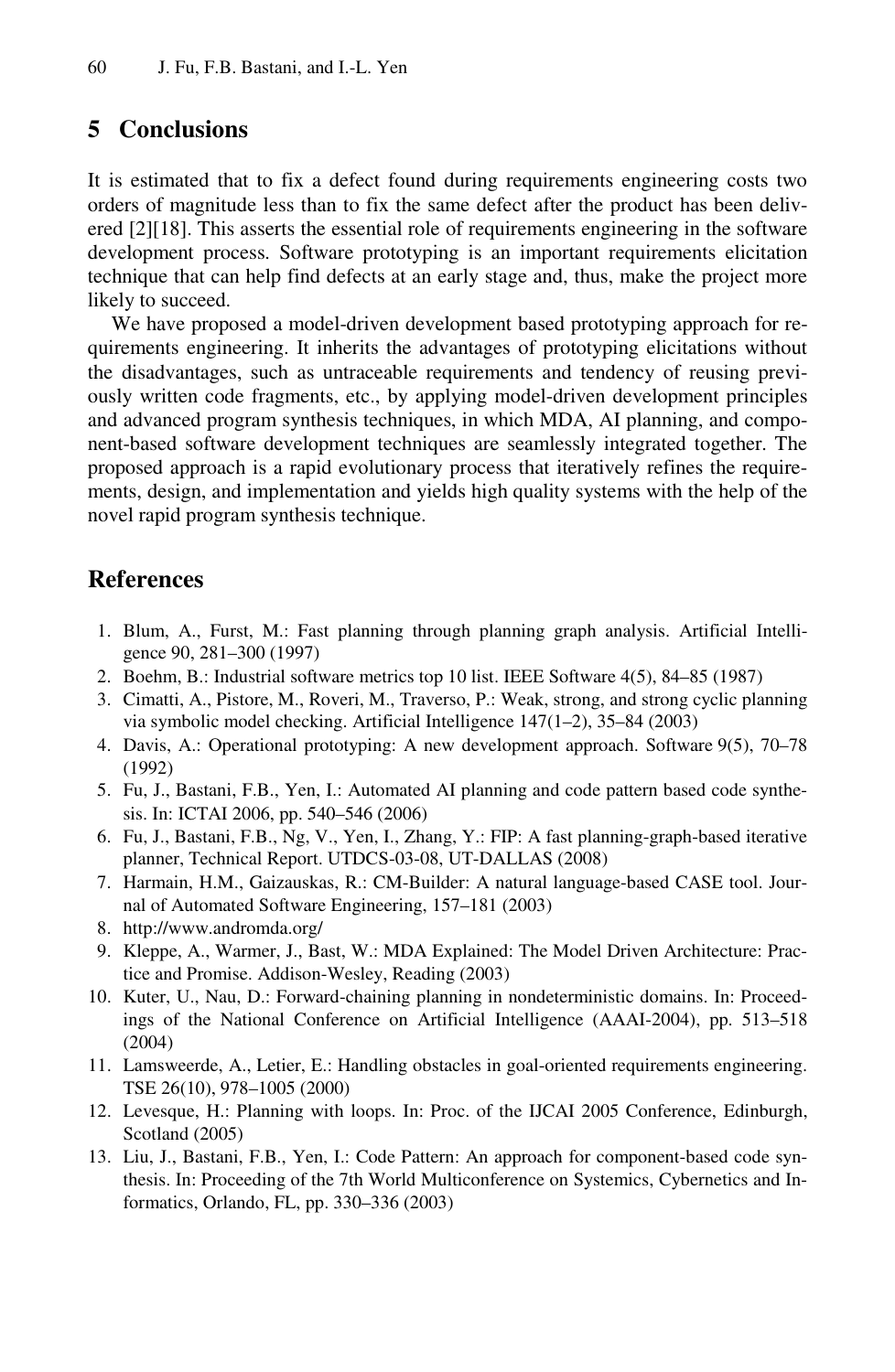## **5 Conclusions**

It is estimated that to fix a defect found during requirements engineering costs two orders of magnitude less than to fix the same defect after the product has been delivered [2][18]. This asserts the essential role of requirements engineering in the software development process. Software prototyping is an important requirements elicitation technique that can help find defects at an early stage and, thus, make the project more likely to succeed.

We have proposed a model-driven development based prototyping approach for requirements engineering. It inherits the advantages of prototyping elicitations without the disadvantages, such as untraceable requirements and tendency of reusing previously written code fragments, etc., by applying model-driven development principles and advanced program synthesis techniques, in which MDA, AI planning, and component-based software development techniques are seamlessly integrated together. The proposed approach is a rapid evolutionary process that iteratively refines the requirements, design, and implementation and yields high quality systems with the help of the novel rapid program synthesis technique.

## **References**

- 1. Blum, A., Furst, M.: Fast planning through planning graph analysis. Artificial Intelligence 90, 281–300 (1997)
- 2. Boehm, B.: Industrial software metrics top 10 list. IEEE Software 4(5), 84–85 (1987)
- 3. Cimatti, A., Pistore, M., Roveri, M., Traverso, P.: Weak, strong, and strong cyclic planning via symbolic model checking. Artificial Intelligence 147(1–2), 35–84 (2003)
- 4. Davis, A.: Operational prototyping: A new development approach. Software 9(5), 70–78 (1992)
- 5. Fu, J., Bastani, F.B., Yen, I.: Automated AI planning and code pattern based code synthesis. In: ICTAI 2006, pp. 540–546 (2006)
- 6. Fu, J., Bastani, F.B., Ng, V., Yen, I., Zhang, Y.: FIP: A fast planning-graph-based iterative planner, Technical Report. UTDCS-03-08, UT-DALLAS (2008)
- 7. Harmain, H.M., Gaizauskas, R.: CM-Builder: A natural language-based CASE tool. Journal of Automated Software Engineering, 157–181 (2003)
- 8. http://www.andromda.org/
- 9. Kleppe, A., Warmer, J., Bast, W.: MDA Explained: The Model Driven Architecture: Practice and Promise. Addison-Wesley, Reading (2003)
- 10. Kuter, U., Nau, D.: Forward-chaining planning in nondeterministic domains. In: Proceedings of the National Conference on Artificial Intelligence (AAAI-2004), pp. 513–518 (2004)
- 11. Lamsweerde, A., Letier, E.: Handling obstacles in goal-oriented requirements engineering. TSE 26(10), 978–1005 (2000)
- 12. Levesque, H.: Planning with loops. In: Proc. of the IJCAI 2005 Conference, Edinburgh, Scotland (2005)
- 13. Liu, J., Bastani, F.B., Yen, I.: Code Pattern: An approach for component-based code synthesis. In: Proceeding of the 7th World Multiconference on Systemics, Cybernetics and Informatics, Orlando, FL, pp. 330–336 (2003)